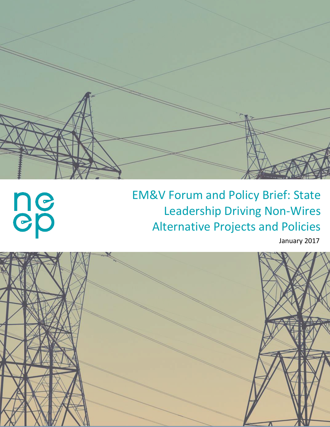

# **ne**

# EM&V Forum and Policy Brief: State Leadership Driving Non-Wires Alternative Projects and Policies

January 2017

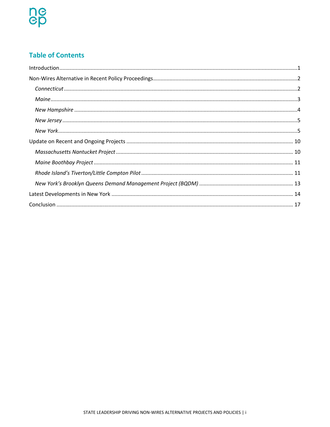# **Table of Contents**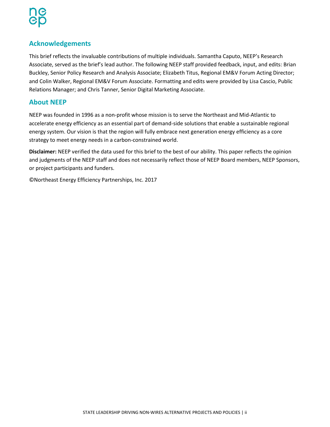# **Acknowledgements**

This brief reflects the invaluable contributions of multiple individuals. Samantha Caputo, NEEP's Research Associate, served as the brief's lead author. The following NEEP staff provided feedback, input, and edits: Brian Buckley, Senior Policy Research and Analysis Associate; Elizabeth Titus, Regional EM&V Forum Acting Director; and Colin Walker, Regional EM&V Forum Associate. Formatting and edits were provided by Lisa Cascio, Public Relations Manager; and Chris Tanner, Senior Digital Marketing Associate.

#### **About NEEP**

NEEP was founded in 1996 as a non-profit whose mission is to serve the Northeast and Mid-Atlantic to accelerate energy efficiency as an essential part of demand-side solutions that enable a sustainable regional energy system. Our vision is that the region will fully embrace next generation energy efficiency as a core strategy to meet energy needs in a carbon-constrained world.

**Disclaimer:** NEEP verified the data used for this brief to the best of our ability. This paper reflects the opinion and judgments of the NEEP staff and does not necessarily reflect those of NEEP Board members, NEEP Sponsors, or project participants and funders.

©Northeast Energy Efficiency Partnerships, Inc. 2017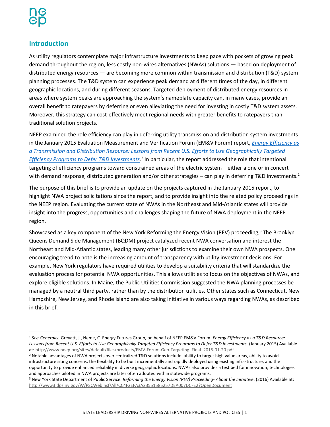# <span id="page-3-0"></span>**Introduction**

As utility regulators contemplate major infrastructure investments to keep pace with pockets of growing peak demand throughout the region, less costly non-wires alternatives (NWAs) solutions — based on deployment of distributed energy resources — are becoming more common within transmission and distribution (T&D) system planning processes. The T&D system can experience peak demand at different times of the day, in different geographic locations, and during different seasons. Targeted deployment of distributed energy resources in areas where system peaks are approaching the system's nameplate capacity can, in many cases, provide an overall benefit to ratepayers by deferring or even alleviating the need for investing in costly T&D system assets. Moreover, this strategy can cost-effectively meet regional needs with greater benefits to ratepayers than traditional solution projects.

NEEP examined the role efficiency can play in deferring utility transmission and distribution system investments in the January 2015 Evaluation Measurement and Verification Forum (EM&V Forum) report, *[Energy Efficiency as](http://www.neep.org/sites/default/files/products/EMV-Forum-Geo-Targeting_Final_2015-01-20.pdf)  [a Transmission and Distribution Resource: Lessons from Recent U.S. Efforts to Use Geographically Targeted](http://www.neep.org/sites/default/files/products/EMV-Forum-Geo-Targeting_Final_2015-01-20.pdf)*  [Efficiency Programs to Defer T&D Investments.](http://www.neep.org/sites/default/files/products/EMV-Forum-Geo-Targeting_Final_2015-01-20.pdf)<sup>1</sup> In particular, the report addressed the role that intentional targeting of efficiency programs toward constrained areas of the electric system – either alone or in concert with demand response, distributed generation and/or other strategies – can play in deferring T&D investments.<sup>2</sup>

The purpose of this brief is to provide an update on the projects captured in the January 2015 report, to highlight NWA project solicitations since the report, and to provide insight into the related policy proceedings in the NEEP region. Evaluating the current state of NWAs in the Northeast and Mid-Atlantic states will provide insight into the progress, opportunities and challenges shaping the future of NWA deployment in the NEEP region.

Showcased as a key component of the New York Reforming the Energy Vision (REV) proceeding,<sup>3</sup> The Brooklyn Queens Demand Side Management (BQDM) project catalyzed recent NWA conversation and interest the Northeast and Mid-Atlantic states, leading many other jurisdictions to examine their own NWA prospects. One encouraging trend to note is the increasing amount of transparency with utility investment decisions. For example, New York regulators have required utilities to develop a suitability criteria that will standardize the evaluation process for potential NWA opportunities. This allows utilities to focus on the objectives of NWAs, and explore eligible solutions. In Maine, the Public Utilities Commission suggested the NWA planning processes be managed by a neutral third party, rather than by the distribution utilities. Other states such as Connecticut, New Hampshire, New Jersey, and Rhode Island are also taking initiative in various ways regarding NWAs, as described in this brief.

<sup>1</sup> *See Generally*, Grevatt, J., Neme, C. Energy Futures Group, on behalf of NEEP EM&V Forum. *Energy Efficiency as a T&D Resource: Lessons from Recent U.S. Efforts to Use Geographically Targeted Efficiency Programs to Defer T&D Investments.* (January 2015) Available at: [http://www.neep.org/sites/default/files/products/EMV-Forum-Geo-Targeting\\_Final\\_2015-01-20.pdf](http://www.neep.org/sites/default/files/products/EMV-Forum-Geo-Targeting_Final_2015-01-20.pdf)

<sup>2</sup> Notable advantages of NWA projects over centralized T&D solutions include: ability to target high value areas, ability to avoid infrastructure siting concerns, the flexibility to be built incrementally and rapidly deployed using existing infrastructure, and the opportunity to provide enhanced reliability in diverse geographic locations. NWAs also provides a test bed for innovation; technologies and approaches piloted in NWA projects are later often adopted within statewide programs.

<sup>3</sup> New York State Department of Public Service. *Reforming the Energy Vision (REV) Proceeding- About the Initiative*. (2016) Available at: <http://www3.dps.ny.gov/W/PSCWeb.nsf/All/CC4F2EFA3A23551585257DEA007DCFE2?OpenDocument>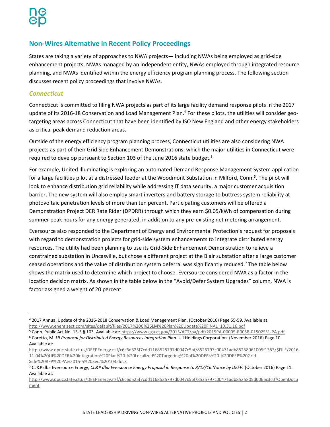# <span id="page-4-0"></span>**Non-Wires Alternative in Recent Policy Proceedings**

States are taking a variety of approaches to NWA projects— including NWAs being employed as grid-side enhancement projects, NWAs managed by an independent entity, NWAs employed through integrated resource planning, and NWAs identified within the energy efficiency program planning process. The following section discusses recent policy proceedings that involve NWAs.

#### <span id="page-4-1"></span>*Connecticut*

Connecticut is committed to filing NWA projects as part of its large facility demand response pilots in the 2017 update of its 2016-18 Conservation and Load Management Plan.<sup>4</sup> For these pilots, the utilities will consider geotargeting areas across Connecticut that have been identified by ISO New England and other energy stakeholders as critical peak demand reduction areas.

Outside of the energy efficiency program planning process, Connecticut utilities are also considering NWA projects as part of their Grid Side Enhancement Demonstrations, which the major utilities in Connecticut were required to develop pursuant to Section 103 of the June 2016 state budget.<sup>5</sup>

For example, United Illuminating is exploring an automated Demand Response Management System application for a large facilities pilot at a distressed feeder at the Woodmont Substation in Milford, Conn.<sup>6</sup>. The pilot will look to enhance distribution grid reliability while addressing IT data security, a major customer acquisition barrier. The new system will also employ smart inverters and battery storage to buttress system reliability at photovoltaic penetration levels of more than ten percent. Participating customers will be offered a Demonstration Project DER Rate Rider (DPDRR) through which they earn \$0.05/kWh of compensation during summer peak hours for any energy generated, in addition to any pre-existing net metering arrangement.

Eversource also responded to the Department of Energy and Environmental Protection's request for proposals with regard to demonstration projects for grid-side system enhancements to integrate distributed energy resources. The utility had been planning to use its Grid-Side Enhancement Demonstration to relieve a constrained substation in Uncasville, but chose a different project at the Blair substation after a large customer ceased operations and the value of distribution system deferral was significantly reduced.<sup>7</sup> The table below shows the matrix used to determine which project to choose. Eversource considered NWA as a factor in the location decision matrix. As shown in the table below in the "Avoid/Defer System Upgrades" column, NWA is factor assigned a weight of 20 percent.

 $\overline{\phantom{a}}$ <sup>4</sup> 2017 Annual Update of the 2016-2018 Conservation & Load Management Plan. (October 2016) Page 55-59. Available at: [http://www.energizect.com/sites/default/files/2017%20C%26LM%20Plan%20Update%20FINAL\\_10.31.16.pdf](http://www.energizect.com/sites/default/files/2017%20C%26LM%20Plan%20Update%20FINAL_10.31.16.pdf)

<sup>5</sup> Conn. Public Act No. 15-5 § 103. Available at[: https://www.cga.ct.gov/2015/ACT/pa/pdf/2015PA-00005-R00SB-01502SS1-PA.pdf](https://www.cga.ct.gov/2015/ACT/pa/pdf/2015PA-00005-R00SB-01502SS1-PA.pdf) <sup>6</sup> Coretto, M. *UI Proposal for Distributed Energy Resources Integration Plan*. Uil Holdings Corporation. (November 2016) Page 10.

Available at:

[http://www.dpuc.state.ct.us/DEEPEnergy.nsf/c6c6d525f7cdd1168525797d0047c5bf/8525797c00471adb85258061005f1353/\\$FILE/2016-](http://www.dpuc.state.ct.us/DEEPEnergy.nsf/c6c6d525f7cdd1168525797d0047c5bf/8525797c00471adb85258061005f1353/$FILE/2016-11-04%20UI%20DER%20Integration%20Plan%20-%20Localized%20Targeting%20of%20DERs%20-%20DEEP%20Grid-Side%20RFP%20PA%2015-5%20Sec.%20103.docx) [11-04%20UI%20DER%20Integration%20Plan%20-%20Localized%20Targeting%20of%20DERs%20-%20DEEP%20Grid-](http://www.dpuc.state.ct.us/DEEPEnergy.nsf/c6c6d525f7cdd1168525797d0047c5bf/8525797c00471adb85258061005f1353/$FILE/2016-11-04%20UI%20DER%20Integration%20Plan%20-%20Localized%20Targeting%20of%20DERs%20-%20DEEP%20Grid-Side%20RFP%20PA%2015-5%20Sec.%20103.docx)[Side%20RFP%20PA%2015-5%20Sec.%20103.docx](http://www.dpuc.state.ct.us/DEEPEnergy.nsf/c6c6d525f7cdd1168525797d0047c5bf/8525797c00471adb85258061005f1353/$FILE/2016-11-04%20UI%20DER%20Integration%20Plan%20-%20Localized%20Targeting%20of%20DERs%20-%20DEEP%20Grid-Side%20RFP%20PA%2015-5%20Sec.%20103.docx)

<sup>7</sup> CL&P dba Eversource Energy, *CL&P dba Eversource Energy Proposal in Response to 8/12/16 Notice by DEEP.* (October 2016) Page 11. Available at:

[http://www.dpuc.state.ct.us/DEEPEnergy.nsf/c6c6d525f7cdd1168525797d0047c5bf/8525797c00471adb8525805d0066c3c0?OpenDocu](http://www.dpuc.state.ct.us/DEEPEnergy.nsf/c6c6d525f7cdd1168525797d0047c5bf/8525797c00471adb8525805d0066c3c0?OpenDocument) [ment](http://www.dpuc.state.ct.us/DEEPEnergy.nsf/c6c6d525f7cdd1168525797d0047c5bf/8525797c00471adb8525805d0066c3c0?OpenDocument)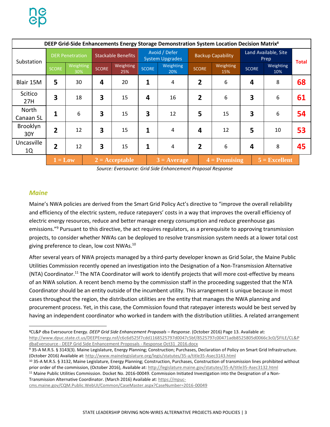|                    | DEEP Grid-Side Enhancements Energy Storage Demonstration System Location Decision Matrix <sup>8</sup> |                  |                           |                  |                                         |                  |                          |  |                              |              |  |                  |  |    |
|--------------------|-------------------------------------------------------------------------------------------------------|------------------|---------------------------|------------------|-----------------------------------------|------------------|--------------------------|--|------------------------------|--------------|--|------------------|--|----|
| Substation         | <b>DER Penetration</b>                                                                                |                  | <b>Stackable Benefits</b> |                  | Avoid / Defer<br><b>System Upgrades</b> |                  | <b>Backup Capability</b> |  | Land Available, Site<br>Prep |              |  | <b>Total</b>     |  |    |
|                    | <b>SCORE</b>                                                                                          | Weighting<br>30% | <b>SCORE</b>              | Weighting<br>25% | <b>SCORE</b>                            | Weighting<br>20% | <b>SCORE</b>             |  | Weighting<br>15%             | <b>SCORE</b> |  | Weighting<br>10% |  |    |
| Blair 15M          | 5                                                                                                     | 30               | 4                         | 20               | 1                                       | 4                | 2                        |  | 6                            | 4            |  | 8                |  | 68 |
| Scitico<br>27H     | 3                                                                                                     | 18               | 3                         | 15               | 4                                       | 16               | $\overline{2}$           |  | 6                            | 3            |  | 6                |  | 61 |
| North<br>Canaan 5L | $\mathbf{1}$                                                                                          | 6                | 3                         | 15               | 3                                       | 12               | 5                        |  | 15                           | 3            |  | 6                |  | 54 |
| Brooklyn<br>30Y    | $\overline{2}$                                                                                        | 12               | $\overline{\mathbf{3}}$   | 15               | 1                                       | 4                | 4                        |  | 12                           | 5            |  | 10               |  | 53 |
| Uncasville<br>1Q   | $\overline{2}$                                                                                        | 12               | 3                         | 15               | 1                                       | 4                | $\overline{2}$           |  | 6                            | 4            |  | 8                |  | 45 |
|                    | $1 = Low$                                                                                             |                  | $2 = Acceptable$          |                  | $4 =$ Promising<br>$3 = Average$        |                  |                          |  | $5 =$ Excellent              |              |  |                  |  |    |

*Source: Eversource: Grid Side Enhancement Proposal Response*

#### <span id="page-5-0"></span>*Maine*

 $\overline{\phantom{a}}$ 

Maine's NWA policies are derived from the Smart Grid Policy Act's directive to "improve the overall reliability and efficiency of the electric system, reduce ratepayers' costs in a way that improves the overall efficiency of electric energy resources, reduce and better manage energy consumption and reduce greenhouse gas emissions."<sup>9</sup> Pursuant to this directive, the act requires regulators, as a prerequisite to approving transmission projects, to consider whether NWAs can be deployed to resolve transmission system needs at a lower total cost giving preference to clean, low cost NWAs.<sup>10</sup>

After several years of NWA projects managed by a third-party developer known as Grid Solar, the Maine Public Utilities Commission recently opened an investigation into the Designation of a Non-Transmission Alternative (NTA) Coordinator.<sup>11</sup> The NTA Coordinator will work to identify projects that will more cost-effective by means of an NWA solution. A recent bench memo by the commission staff in the proceeding suggested that the NTA Coordinator should be an entity outside of the incumbent utility. This arrangement is unique because in most cases throughout the region, the distribution utilities are the entity that manages the NWA planning and procurement process. Yet, in this case, the Commission found that ratepayer interests would be best served by having an independent coordinator who worked in tandem with the distribution utilities. A related arrangement

<sup>8</sup>CL&P dba Eversource Energy. *DEEP Grid Side Enhancement Proposals – Response*. (October 2016) Page 13. Available at: [http://www.dpuc.state.ct.us/DEEPEnergy.nsf/c6c6d525f7cdd1168525797d0047c5bf/8525797c00471adb8525805d0066c3c0/\\$FILE/CL&P](http://www.dpuc.state.ct.us/DEEPEnergy.nsf/c6c6d525f7cdd1168525797d0047c5bf/8525797c00471adb8525805d0066c3c0/$FILE/CL&PdbaEversource%20-%20DEEP%20Grid%20Side%20Enhancement%20Proposals%20-%20Response%20Oct31_2016.docx) dbaEversource - [DEEP Grid Side Enhancement Proposals -](http://www.dpuc.state.ct.us/DEEPEnergy.nsf/c6c6d525f7cdd1168525797d0047c5bf/8525797c00471adb8525805d0066c3c0/$FILE/CL&PdbaEversource%20-%20DEEP%20Grid%20Side%20Enhancement%20Proposals%20-%20Response%20Oct31_2016.docx) Response Oct31\_2016.docx

<sup>9 35-</sup>A M.R.S. § 3143(3). Maine Legislature, Energy Planning; Construction; Purchases, Declaration of Policy on Smart Grid Infrastructure. (October 2016) Available at: <http://www.mainelegislature.org/legis/statutes/35-a/title35-Asec3143.html>

<sup>10</sup> 35-A M.R.S. § 3132, Maine Legislature, Energy Planning; Construction, Purchases, Construction of transmission lines prohibited without prior order of the commission, (October 2016), Available at: <http://legislature.maine.gov/statutes/35-A/title35-Asec3132.html>

<sup>&</sup>lt;sup>11</sup> Maine Public Utilities Commission. Docket No. 2016-00049. Commission Initiated Investigation into the Designation of a Non-Transmission Alternative Coordinator. (March 2016) Available at: [https://mpuc-](https://mpuc-cms.maine.gov/CQM.Public.WebUI/Common/CaseMaster.aspx?CaseNumber=2016-00049)

[cms.maine.gov/CQM.Public.WebUI/Common/CaseMaster.aspx?CaseNumber=2016-00049](https://mpuc-cms.maine.gov/CQM.Public.WebUI/Common/CaseMaster.aspx?CaseNumber=2016-00049)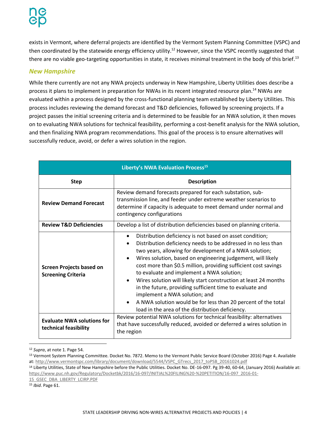exists in Vermont, where deferral projects are identified by the Vermont System Planning Committee (VSPC) and then coordinated by the statewide energy efficiency utility.<sup>12</sup> However, since the VSPC recently suggested that there are no viable geo-targeting opportunities in state, it receives minimal treatment in the body of this brief.<sup>13</sup>

#### <span id="page-6-0"></span>*New Hampshire*

While there currently are not any NWA projects underway in New Hampshire, Liberty Utilities does describe a process it plans to implement in preparation for NWAs in its recent integrated resource plan.<sup>14</sup> NWAs are evaluated within a process designed by the cross-functional planning team established by Liberty Utilities. This process includes reviewing the demand forecast and T&D deficiencies, followed by screening projects. If a project passes the initial screening criteria and is determined to be feasible for an NWA solution, it then moves on to evaluating NWA solutions for technical feasibility, performing a cost-benefit analysis for the NWA solution, and then finalizing NWA program recommendations. This goal of the process is to ensure alternatives will successfully reduce, avoid, or defer a wires solution in the region.

| Liberty's NWA Evaluation Process <sup>15</sup>               |                                                                                                                                                                                                                                                                                                                                                                                                                                                                                                                                                                                                                                                                                                                           |  |  |  |  |  |  |
|--------------------------------------------------------------|---------------------------------------------------------------------------------------------------------------------------------------------------------------------------------------------------------------------------------------------------------------------------------------------------------------------------------------------------------------------------------------------------------------------------------------------------------------------------------------------------------------------------------------------------------------------------------------------------------------------------------------------------------------------------------------------------------------------------|--|--|--|--|--|--|
| <b>Step</b>                                                  | <b>Description</b>                                                                                                                                                                                                                                                                                                                                                                                                                                                                                                                                                                                                                                                                                                        |  |  |  |  |  |  |
| <b>Review Demand Forecast</b>                                | Review demand forecasts prepared for each substation, sub-<br>transmission line, and feeder under extreme weather scenarios to<br>determine if capacity is adequate to meet demand under normal and<br>contingency configurations                                                                                                                                                                                                                                                                                                                                                                                                                                                                                         |  |  |  |  |  |  |
| <b>Review T&amp;D Deficiencies</b>                           | Develop a list of distribution deficiencies based on planning criteria.                                                                                                                                                                                                                                                                                                                                                                                                                                                                                                                                                                                                                                                   |  |  |  |  |  |  |
| <b>Screen Projects based on</b><br><b>Screening Criteria</b> | Distribution deficiency is not based on asset condition;<br>$\bullet$<br>Distribution deficiency needs to be addressed in no less than<br>$\bullet$<br>two years, allowing for development of a NWA solution;<br>Wires solution, based on engineering judgement, will likely<br>$\bullet$<br>cost more than \$0.5 million, providing sufficient cost savings<br>to evaluate and implement a NWA solution;<br>Wires solution will likely start construction at least 24 months<br>$\bullet$<br>in the future, providing sufficient time to evaluate and<br>implement a NWA solution; and<br>A NWA solution would be for less than 20 percent of the total<br>$\bullet$<br>load in the area of the distribution deficiency. |  |  |  |  |  |  |
| <b>Evaluate NWA solutions for</b><br>technical feasibility   | Review potential NWA solutions for technical feasibility: alternatives<br>that have successfully reduced, avoided or deferred a wires solution in<br>the region                                                                                                                                                                                                                                                                                                                                                                                                                                                                                                                                                           |  |  |  |  |  |  |

 $\overline{a}$ <sup>12</sup> *Supra*, at note 1. Page 54.

<sup>13</sup> Vermont System Planning Committee. Docket No. 7872. Memo to the Vermont Public Service Board (October 2016) Page 4. Available at: [http://www.vermontspc.com/library/document/download/5544/VSPC\\_GTrecs\\_2017\\_toPSB\\_20161024.pdf](http://www.vermontspc.com/library/document/download/5544/VSPC_GTrecs_2017_toPSB_20161024.pdf)

<sup>14</sup> Liberty Utilities, State of New Hampshire before the Public Utilities. Docket No. DE-16-097. Pg 39-40, 60-64, (January 2016) Available at: [https://www.puc.nh.gov/Regulatory/Docketbk/2016/16-097/INITIAL%20FILING%20-%20PETITION/16-097\\_2016-01-](https://www.puc.nh.gov/Regulatory/Docketbk/2016/16-097/INITIAL%20FILING%20-%20PETITION/16-097_2016-01-15_GSEC_DBA_LIBERTY_LCIRP.PDF)

[15\\_GSEC\\_DBA\\_LIBERTY\\_LCIRP.PDF](https://www.puc.nh.gov/Regulatory/Docketbk/2016/16-097/INITIAL%20FILING%20-%20PETITION/16-097_2016-01-15_GSEC_DBA_LIBERTY_LCIRP.PDF)

<sup>15</sup> *Ibid*. Page 61.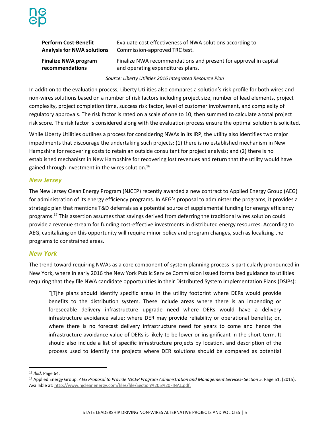| <b>Perform Cost-Benefit</b>       | Evaluate cost effectiveness of NWA solutions according to        |  |  |  |
|-----------------------------------|------------------------------------------------------------------|--|--|--|
| <b>Analysis for NWA solutions</b> | Commission-approved TRC test.                                    |  |  |  |
| <b>Finalize NWA program</b>       | Finalize NWA recommendations and present for approval in capital |  |  |  |
| recommendations                   | and operating expenditures plans.                                |  |  |  |

*Source: Liberty Utilities 2016 Integrated Resource Plan*

In addition to the evaluation process, Liberty Utilities also compares a solution's risk profile for both wires and non-wires solutions based on a number of risk factors including project size, number of lead elements, project complexity, project completion time, success risk factor, level of customer involvement, and complexity of regulatory approvals. The risk factor is rated on a scale of one to 10, then summed to calculate a total project risk score. The risk factor is considered along with the evaluation process ensure the optimal solution is solicited.

While Liberty Utilities outlines a process for considering NWAs in its IRP, the utility also identifies two major impediments that discourage the undertaking such projects: (1) there is no established mechanism in New Hampshire for recovering costs to retain an outside consultant for project analysis; and (2) there is no established mechanism in New Hampshire for recovering lost revenues and return that the utility would have gained through investment in the wires solution.<sup>16</sup>

#### <span id="page-7-0"></span>*New Jersey*

The New Jersey Clean Energy Program (NJCEP) recently awarded a new contract to Applied Energy Group (AEG) for administration of its energy efficiency programs. In AEG's proposal to administer the programs, it provides a strategic plan that mentions T&D deferrals as a potential source of supplemental funding for energy efficiency programs.<sup>17</sup> This assertion assumes that savings derived from deferring the traditional wires solution could provide a revenue stream for funding cost-effective investments in distributed energy resources. According to AEG, capitalizing on this opportunity will require minor policy and program changes, such as localizing the programs to constrained areas.

#### <span id="page-7-1"></span>*New York*

The trend toward requiring NWAs as a core component of system planning process is particularly pronounced in New York, where in early 2016 the New York Public Service Commission issued formalized guidance to utilities requiring that they file NWA candidate opportunities in their Distributed System Implementation Plans (DSIPs):

"[T]he plans should identify specific areas in the utility footprint where DERs would provide benefits to the distribution system. These include areas where there is an impending or foreseeable delivery infrastructure upgrade need where DERs would have a delivery infrastructure avoidance value; where DER may provide reliability or operational benefits; or, where there is no forecast delivery infrastructure need for years to come and hence the infrastructure avoidance value of DERs is likely to be lower or insignificant in the short-term. It should also include a list of specific infrastructure projects by location, and description of the process used to identify the projects where DER solutions should be compared as potential

l

<sup>16</sup> *Ibid*. Page 64.

<sup>17</sup> Applied Energy Group. *AEG Proposal to Provide NJCEP Program Administration and Management Services- Section 5.* Page 51, (2015), Available at[: http://www.njcleanenergy.com/files/file/Section%205%20FINAL.pdf.](http://www.njcleanenergy.com/files/file/Section%205%20FINAL.pdf)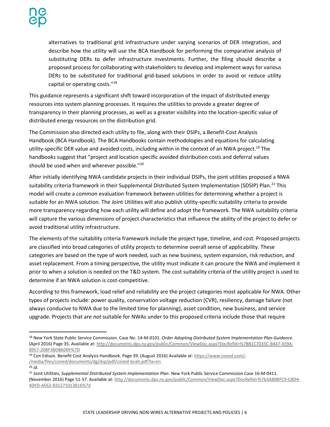alternatives to traditional grid infrastructure under varying scenarios of DER integration, and describe how the utility will use the BCA Handbook for performing the comparative analysis of substituting DERs to defer infrastructure investments. Further, the filing should describe a proposed process for collaborating with stakeholders to develop and implement ways for various DERs to be substituted for traditional grid-based solutions in order to avoid or reduce utility capital or operating costs."<sup>18</sup>

This guidance represents a significant shift toward incorporation of the impact of distributed energy resources into system planning processes. It requires the utilities to provide a greater degree of transparency in their planning processes, as well as a greater visibility into the location-specific value of distributed energy resources on the distribution grid.

The Commission also directed each utility to file, along with their DSIPs, a Benefit-Cost Analysis Handbook (BCA Handbook). The BCA Handbooks contain methodologies and equations for calculating utility-specific DER value and avoided costs, including within in the context of an NWA project.<sup>19</sup> The handbooks suggest that "project and location specific avoided distribution costs and deferral values should be used when and wherever possible."<sup>20</sup>

After initially identifying NWA candidate projects in their individual DSIPs, the joint utilities proposed a NWA suitability criteria framework in their Supplemental Distributed System Implementation (SDSIP) Plan.<sup>21</sup> This model will create a common evaluation framework between utilities for determining whether a project is suitable for an NWA solution. The Joint Utilities will also publish utility-specific suitability criteria to provide more transparency regarding how each utility will define and adopt the framework. The NWA suitability criteria will capture the various dimensions of project characteristics that influence the ability of the project to defer or avoid traditional utility infrastructure.

The elements of the suitability criteria framework include the project type, timeline, and cost. Proposed projects are classified into broad categories of utility projects to determine overall sense of applicability. These categories are based on the type of work needed, such as new business, system expansion, risk reduction, and asset replacement. From a timing perspective, the utility must indicate it can procure the NWA and implement it prior to when a solution is needed on the T&D system. The cost suitability criteria of the utility project is used to determine if an NWA solution is cost-competitive.

According to this framework, load relief and reliability are the project categories most applicable for NWA. Other types of projects include: power quality, conservation voltage reduction (CVR), resiliency, damage failure (not always conducive to NWA due to the limited time for planning), asset condition, new business, and service upgrade. Projects that are *not* suitable for NWAs under to this proposed criteria include those that require

- <sup>19</sup> Con Edison. Benefit Cost Analysis Handbook. Page 39. (August 2016) Available at[: https://www.coned.com/-](https://www.coned.com/-/media/files/coned/documents/dg/dsp/pdf/coned-bcah.pdf?la=en) [/media/files/coned/documents/dg/dsp/pdf/coned-bcah.pdf?la=en](https://www.coned.com/-/media/files/coned/documents/dg/dsp/pdf/coned-bcah.pdf?la=en)
- <sup>20</sup> *id*.

 $\overline{\phantom{a}}$ 

<sup>18</sup> New York State Public Service Commission. Case No. 14-M-0101. *Order Adopting Distributed System Implementation Plan Guidance*. (April 2016) Page 35. Available at[: http://documents.dps.ny.gov/public/Common/ViewDoc.aspx?DocRefId=%7BB1C7035C-B447-459A-](http://documents.dps.ny.gov/public/Common/ViewDoc.aspx?DocRefId=%7BB1C7035C-B447-459A-8957-20BF3BDB6D0F%7D)[8957-20BF3BDB6D0F%7D](http://documents.dps.ny.gov/public/Common/ViewDoc.aspx?DocRefId=%7BB1C7035C-B447-459A-8957-20BF3BDB6D0F%7D)

<sup>21</sup> Joint Utilities, *Supplemental Distributed System Implementation Plan*. New York Public Service Commission Case 16-M-0411*.* (November 2016) Page 51-57. Available at: [http://documents.dps.ny.gov/public/Common/ViewDoc.aspx?DocRefId=%7b3A80BFC9-CBD4-](http://documents.dps.ny.gov/public/Common/ViewDoc.aspx?DocRefId=%7b3A80BFC9-CBD4-4DFD-AE62-831271013816%7d) [4DFD-AE62-831271013816%7d](http://documents.dps.ny.gov/public/Common/ViewDoc.aspx?DocRefId=%7b3A80BFC9-CBD4-4DFD-AE62-831271013816%7d)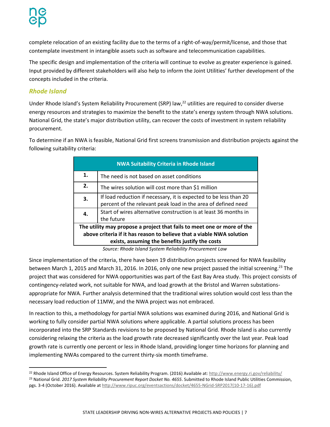complete relocation of an existing facility due to the terms of a right-of-way/permit/license, and those that contemplate investment in intangible assets such as software and telecommunication capabilities.

The specific design and implementation of the criteria will continue to evolve as greater experience is gained. Input provided by different stakeholders will also help to inform the Joint Utilities' further development of the concepts included in the criteria.

#### *Rhode Island*

l

Under Rhode Island's System Reliability Procurement (SRP) law,<sup>22</sup> utilities are required to consider diverse energy resources and strategies to maximize the benefit to the state's energy system through NWA solutions. National Grid, the state's major distribution utility, can recover the costs of investment in system reliability procurement.

To determine if an NWA is feasible, National Grid first screens transmission and distribution projects against the following suitability criteria:

| <b>NWA Suitability Criteria in Rhode Island</b>                                                                                                                                                     |                                                                                                                                    |  |  |  |  |  |
|-----------------------------------------------------------------------------------------------------------------------------------------------------------------------------------------------------|------------------------------------------------------------------------------------------------------------------------------------|--|--|--|--|--|
| $\mathbf{1}$ .                                                                                                                                                                                      | The need is not based on asset conditions                                                                                          |  |  |  |  |  |
| 2.                                                                                                                                                                                                  | The wires solution will cost more than \$1 million                                                                                 |  |  |  |  |  |
| 3.                                                                                                                                                                                                  | If load reduction if necessary, it is expected to be less than 20<br>percent of the relevant peak load in the area of defined need |  |  |  |  |  |
| 4.                                                                                                                                                                                                  | Start of wires alternative construction is at least 36 months in<br>the future                                                     |  |  |  |  |  |
| The utility may propose a project that fails to meet one or more of the<br>above criteria if it has reason to believe that a viable NWA solution<br>exists, assuming the benefits justify the costs |                                                                                                                                    |  |  |  |  |  |

*Source: Rhode Island System Reliability Procurement Law*

Since implementation of the criteria, there have been 19 distribution projects screened for NWA feasibility between March 1, 2015 and March 31, 2016. In 2016, only one new project passed the initial screening.<sup>23</sup> The project that was considered for NWA opportunities was part of the East Bay Area study. This project consists of contingency-related work, not suitable for NWA, and load growth at the Bristol and Warren substationsappropriate for NWA. Further analysis determined that the traditional wires solution would cost less than the necessary load reduction of 11MW, and the NWA project was not embraced.

In reaction to this, a methodology for partial NWA solutions was examined during 2016, and National Grid is working to fully consider partial NWA solutions where applicable. A partial solutions process has been incorporated into the SRP Standards revisions to be proposed by National Grid. Rhode Island is also currently considering relaxing the criteria as the load growth rate decreased significantly over the last year. Peak load growth rate is currently one percent or less in Rhode Island, providing longer time horizons for planning and implementing NWAs compared to the current thirty-six month timeframe.

<sup>&</sup>lt;sup>22</sup> Rhode Island Office of Energy Resources. System Reliability Program. (2016) Available at:<http://www.energy.ri.gov/reliability/>

<sup>23</sup> National Grid. *2017 System Reliability Procurement Report Docket No. 4655*. Submitted to Rhode Island Public Utilities Commission, pgs. 3-4 (October 2016). Available a[t http://www.ripuc.org/eventsactions/docket/4655-NGrid-SRP2017\(10-17-16\).pdf](http://www.ripuc.org/eventsactions/docket/4655-NGrid-SRP2017(10-17-16).pdf)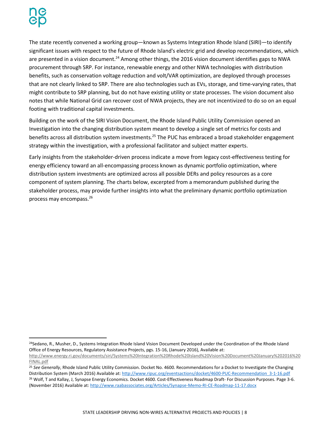$\overline{a}$ 

The state recently convened a working group—known as Systems Integration Rhode Island (SIRI)—to identify significant issues with respect to the future of Rhode Island's electric grid and develop recommendations, which are presented in a vision document.<sup>24</sup> Among other things, the 2016 vision document identifies gaps to NWA procurement through SRP. For instance, renewable energy and other NWA technologies with distribution benefits, such as conservation voltage reduction and volt/VAR optimization, are deployed through processes that are not clearly linked to SRP. There are also technologies such as EVs, storage, and time-varying rates, that might contribute to SRP planning, but do not have existing utility or state processes. The vision document also notes that while National Grid can recover cost of NWA projects, they are not incentivized to do so on an equal footing with traditional capital investments.

Building on the work of the SIRI Vision Document, the Rhode Island Public Utility Commission opened an Investigation into the changing distribution system meant to develop a single set of metrics for costs and benefits across all distribution system investments.<sup>25</sup> The PUC has embraced a broad stakeholder engagement strategy within the investigation, with a professional facilitator and subject matter experts.

Early insights from the stakeholder-driven process indicate a move from legacy cost-effectiveness testing for energy efficiency toward an all-encompassing process known as dynamic portfolio optimization, where distribution system investments are optimized across all possible DERs and policy resources as a core component of system planning. The charts below, excerpted from a memorandum published during the stakeholder process, may provide further insights into what the preliminary dynamic portfolio optimization process may encompass.<sup>26</sup>

<sup>&</sup>lt;sup>24</sup>Sedano, R., Musher, D., Systems Integration Rhode Island Vision Document Developed under the Coordination of the Rhode Island Office of Energy Resources, Regulatory Assistance Projects, pgs. 15-16, (January 2016), Available at:

[http://www.energy.ri.gov/documents/siri/Systems%20Integration%20Rhode%20Island%20Vision%20Document%20January%202016%20](http://www.energy.ri.gov/documents/siri/Systems%20Integration%20Rhode%20Island%20Vision%20Document%20January%202016%20FINAL.pdf) [FINAL.pdf](http://www.energy.ri.gov/documents/siri/Systems%20Integration%20Rhode%20Island%20Vision%20Document%20January%202016%20FINAL.pdf)

<sup>25</sup> *See Generally*, Rhode Island Public Utility Commission. Docket No. 4600. Recommendations for a Docket to Investigate the Changing Distribution System (March 2016) Available at[: http://www.ripuc.org/eventsactions/docket/4600-PUC-Recommendation\\_3-1-16.pdf](http://www.ripuc.org/eventsactions/docket/4600-PUC-Recommendation_3-1-16.pdf)

<sup>&</sup>lt;sup>26</sup> Wolf, T and Kallay, J, Synapse Energy Economics. Docket 4600. Cost-Effectiveness Roadmap Draft- For Discussion Purposes. Page 3-6. (November 2016) Available at[: http://www.raabassociates.org/Articles/Synapse-Memo-RI-CE-Roadmap-11-17.docx](http://www.raabassociates.org/Articles/Synapse-Memo-RI-CE-Roadmap-11-17.docx)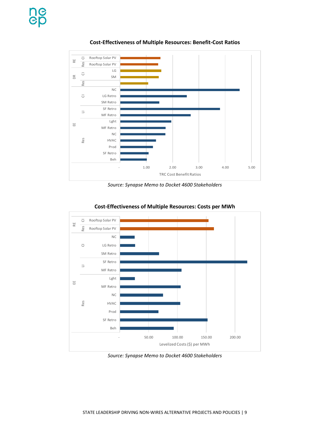

**Cost-Effectiveness of Multiple Resources: Benefit-Cost Ratios**





**Cost-Effectiveness of Multiple Resources: Costs per MWh**

*Source: Synapse Memo to Docket 4600 Stakeholders*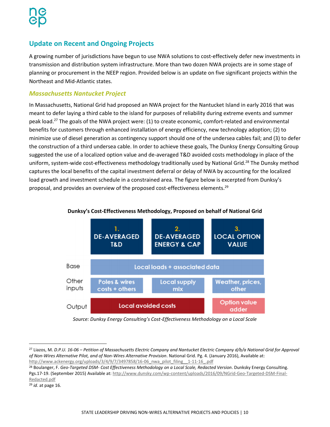# <span id="page-12-0"></span>**Update on Recent and Ongoing Projects**

A growing number of jurisdictions have begun to use NWA solutions to cost-effectively defer new investments in transmission and distribution system infrastructure. More than two dozen NWA projects are in some stage of planning or procurement in the NEEP region. Provided below is an update on five significant projects within the Northeast and Mid-Atlantic states.

#### <span id="page-12-1"></span>*Massachusetts Nantucket Project*

In Massachusetts, National Grid had proposed an NWA project for the Nantucket Island in early 2016 that was meant to defer laying a third cable to the island for purposes of reliability during extreme events and summer peak load.<sup>27</sup> The goals of the NWA project were: (1) to create economic, comfort-related and environmental benefits for customers through enhanced installation of energy efficiency, new technology adoption; (2) to minimize use of diesel generation as contingency support should one of the undersea cables fail; and (3) to defer the construction of a third undersea cable. In order to achieve these goals, The Dunksy Energy Consulting Group suggested the use of a localized option value and de-averaged T&D avoided costs methodology in place of the uniform, system-wide cost-effectiveness methodology traditionally used by National Grid.<sup>28</sup> The Dunsky method captures the local benefits of the capital investment deferral or delay of NWA by accounting for the localized load growth and investment schedule in a constrained area. The figure below is excerpted from Dunksy's proposal, and provides an overview of the proposed cost-effectiveness elements.<sup>29</sup>



#### **Dunksy's Cost-Effectiveness Methodology, Proposed on behalf of National Grid**

*Source: Dunksy Energy Consulting's Cost-Effectiveness Methodology on a Local Scale*

 $\overline{a}$ 

<sup>27</sup> Liazos, M. *D.P.U. 16-06 – Petition of Massachusetts Electric Company and Nantucket Electric Company d/b/a National Grid for Approval of Non-Wires Alternative Pilot, and of Non-Wires Alternative Provision*. National Grid. Pg. 4. (January 2016), Available at: [http://www.ackenergy.org/uploads/3/4/9/7/3497858/16-06\\_nwa\\_pilot\\_filing\\_\\_1-11-16\\_.pdf](http://www.ackenergy.org/uploads/3/4/9/7/3497858/16-06_nwa_pilot_filing__1-11-16_.pdf)

<sup>28</sup> Boulanger, F. *Geo-Targeted DSM- Cost Effectiveness Methodology on a Local Scale, Redacted Version*. Dunksky Energy Consulting. Pgs.17-19. (September 2015) Available at: [http://www.dunsky.com/wp-content/uploads/2016/09/NGrid-Geo-Targeted-DSM-Final-](http://www.dunsky.com/wp-content/uploads/2016/09/NGrid-Geo-Targeted-DSM-Final-Redacted.pdf)[Redacted.pdf](http://www.dunsky.com/wp-content/uploads/2016/09/NGrid-Geo-Targeted-DSM-Final-Redacted.pdf)

<sup>29</sup> *id*. at page 16.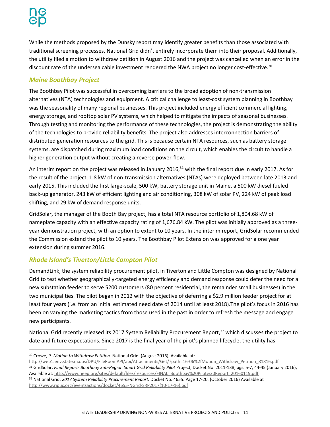While the methods proposed by the Dunsky report may identify greater benefits than those associated with traditional screening processes, National Grid didn't entirely incorporate them into their proposal. Additionally, the utility filed a motion to withdraw petition in August 2016 and the project was cancelled when an error in the discount rate of the undersea cable investment rendered the NWA project no longer cost-effective.<sup>30</sup>

# <span id="page-13-0"></span>*Maine Boothbay Project*

The Boothbay Pilot was successful in overcoming barriers to the broad adoption of non-transmission alternatives (NTA) technologies and equipment. A critical challenge to least-cost system planning in Boothbay was the seasonality of many regional businesses. This project included energy efficient commercial lighting, energy storage, and rooftop solar PV systems, which helped to mitigate the impacts of seasonal businesses. Through testing and monitoring the performance of these technologies, the project is demonstrating the ability of the technologies to provide reliability benefits. The project also addresses interconnection barriers of distributed generation resources to the grid. This is because certain NTA resources, such as battery storage systems, are dispatched during maximum load conditions on the circuit, which enables the circuit to handle a higher generation output without creating a reverse power-flow.

An interim report on the project was released in January 2016, $31$  with the final report due in early 2017. As for the result of the project, 1.8 kW of non-transmission alternatives (NTAs) were deployed between late 2013 and early 2015. This included the first large-scale, 500 kW, battery storage unit in Maine, a 500 kW diesel fueled back-up generator, 243 kW of efficient lighting and air conditioning, 308 kW of solar PV, 224 kW of peak load shifting, and 29 kW of demand response units.

GridSolar, the manager of the Booth Bay project, has a total NTA resource portfolio of 1,804.68 kW of nameplate capacity with an effective capacity rating of 1,676.84 kW. The pilot was initially approved as a threeyear demonstration project, with an option to extent to 10 years. In the interim report, GridSolar recommended the Commission extend the pilot to 10 years. The Boothbay Pilot Extension was approved for a one year extension during summer 2016.

#### <span id="page-13-1"></span>*Rhode Island's Tiverton/Little Compton Pilot*

DemandLink, the system reliability procurement pilot, in Tiverton and Little Compton was designed by National Grid to test whether geographically-targeted energy efficiency and demand response could defer the need for a new substation feeder to serve 5200 customers (80 percent residential, the remainder small businesses) in the two municipalities. The pilot began in 2012 with the objective of deferring a \$2.9 million feeder project for at least four years (i.e. from an initial estimated need date of 2014 until at least 2018).The pilot's focus in 2016 has been on varying the marketing tactics from those used in the past in order to refresh the message and engage new participants.

National Grid recently released its 2017 System Reliability Procurement Report,<sup>32</sup> which discusses the project to date and future expectations. Since 2017 is the final year of the pilot's planned lifecycle, the utility has

<sup>31</sup> GridSolar, Final Report- Boothbay Sub-Region Smart Grid Reliability Pilot Project, Docket No. 2011-138, pgs. 5-7, 44-45 (January 2016), Available at[: http://www.neep.org/sites/default/files/resources/FINAL\\_Boothbay%20Pilot%20Report\\_20160119.pdf](http://www.neep.org/sites/default/files/resources/FINAL_Boothbay%20Pilot%20Report_20160119.pdf)

<sup>32</sup> National Grid. *2017 System Reliability Procurement Report.* Docket No. 4655. Page 17-20. (October 2016) Available at [http://www.ripuc.org/eventsactions/docket/4655-NGrid-SRP2017\(10-17-16\).pdf](http://www.ripuc.org/eventsactions/docket/4655-NGrid-SRP2017(10-17-16).pdf)

<sup>30</sup> Crowe, P. *Motion to Withdraw Petition*. National Grid. (August 2016), Available at:

[http://web1.env.state.ma.us/DPU/FileRoomAPI/api/Attachments/Get/?path=16-06%2fMotion\\_Withdraw\\_Petition\\_81816.pdf](http://web1.env.state.ma.us/DPU/FileRoomAPI/api/Attachments/Get/?path=16-06%2fMotion_Withdraw_Petition_81816.pdf)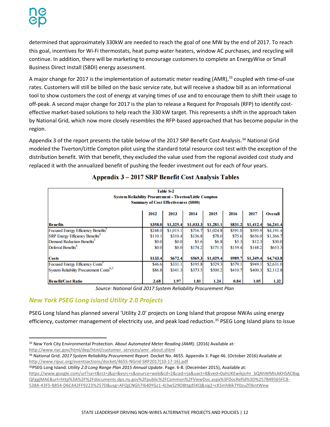$\overline{a}$ 

determined that approximately 330kW are needed to reach the goal of one MW by the end of 2017. To reach this goal, incentives for Wi-Fi thermostats, heat pump water heaters, window AC purchases, and recycling will continue. In addition, there will be marketing to encourage customers to complete an EnergyWise or Small Business Direct Install (SBDI) energy assessment.

A major change for 2017 is the implementation of automatic meter reading (AMR),<sup>33</sup> coupled with time-of-use rates. Customers will still be billed on the basic service rate, but will receive a shadow bill as an informational tool to show customers the cost of energy at varying times of use and to encourage them to shift their usage to off-peak. A second major change for 2017 is the plan to release a Request for Proposals (RFP) to identify costeffective market-based solutions to help reach the 330 kW target. This represents a shift in the approach taken by National Grid, which now more closely resembles the RFP-based approached that has become popular in the region.

Appendix 3 of the report presents the table below of the 2017 SRP Benefit Cost Analysis.<sup>34</sup> National Grid modeled the Tiverton/Little Compton pilot using the standard total resource cost test with the exception of the distribution benefit. With that benefit, they excluded the value used from the regional avoided cost study and replaced it with the annualized benefit of pushing the feeder investment out for each of four years.

| Table S-2<br><b>System Reliability Procurement - Tiverton/Little Compton</b><br><b>Summary of Cost Effectiveness (\$000)</b> |                                                         |           |           |           |         |           |           |
|------------------------------------------------------------------------------------------------------------------------------|---------------------------------------------------------|-----------|-----------|-----------|---------|-----------|-----------|
|                                                                                                                              | 2014<br>2015<br>2013<br>2016<br>2017<br>2012<br>Overall |           |           |           |         |           |           |
| <b>Benefits</b>                                                                                                              | \$358.0                                                 | \$1,325.4 | \$1,033.3 | \$1,281.1 | \$831.2 | \$1,412.4 | \$6,241.4 |
| Focused Energy Efficiency Benefits'                                                                                          | \$248.0                                                 | \$1,015.1 | \$716.7   | \$1,024.8 | \$591.0 | \$595.9   | \$4,191.4 |
| <b>SRP Energy Efficiency Benefits</b>                                                                                        | \$110.1                                                 | \$310.4   | \$136.8   | \$78.0    | \$75.6  | \$656.0   | \$1,366.7 |
| Demand Reduction Benefits <sup>3</sup>                                                                                       | \$0.0                                                   | \$0.0     | \$5.6     | \$6.8     | \$5.3   | \$12.3    | \$30.0    |
| Deferral Benefits <sup>4</sup>                                                                                               | \$0.0                                                   | \$0.0     | \$174.2   | \$171.5   | \$159.4 | \$148.2   | \$653.3   |
| <b>Costs</b>                                                                                                                 | \$133.4                                                 | S672.4    | \$569.3   | \$1,029.4 | S989.7  | \$1,349.4 | \$4,743.8 |
| Focused Energy Efficiency Costs <sup>3</sup>                                                                                 | \$46.6                                                  | \$331.1   | \$195.8   | \$529.3   | \$579.1 | \$949.1   | \$2,631.0 |
| System Reliability Procurement Costs <sup>6,7</sup>                                                                          | \$86.8                                                  | \$341.3   | \$373.5   | \$500.2   | \$410.7 | \$400.3   | \$2,112.8 |
| <b>Benefit/Cost Ratio</b>                                                                                                    | 2.68                                                    | 1.97      | 1.81      | 1.24      | 0.84    | 1.05      | 1.32      |

#### Appendix 3 - 2017 SRP Benefit Cost Analysis Tables

*Source: National Grid 2017 System Reliability Procurement Plan*

#### *New York PSEG Long Island Utility 2.0 Projects*

PSEG Long Island has planned several 'Utility 2.0' projects on Long Island that propose NWAs using energy efficiency, customer management of electricity use, and peak load reduction.<sup>35</sup> PSEG Long Island plans to issue

<sup>33</sup> New York City Environmental Protection. *About Automated Meter Reading (AMR).* (2016) Available at: [http://www.nyc.gov/html/dep/html/customer\\_services/amr\\_about.shtml](http://www.nyc.gov/html/dep/html/customer_services/amr_about.shtml)

<sup>34</sup> National Grid. *2017 System Reliability Procurement Report.* Docket No. 4655. Appendix 3. Page 46. (October 2016) Available at [http://www.ripuc.org/eventsactions/docket/4655-NGrid-SRP2017\(10-17-16\).pdf](http://www.ripuc.org/eventsactions/docket/4655-NGrid-SRP2017(10-17-16).pdf)

<sup>35</sup>PSEG Long Island. *Utility 2.0 Long Range Plan 2015 Annual Update*. Page. 6-8. (December 2015), Available at: [https://www.google.com/url?sa=t&rct=j&q=&esrc=s&source=web&cd=2&cad=rja&uact=8&ved=0ahUKEwikjsrhr\\_bQAhWMIsAKHSACBxg](https://www.google.com/url?sa=t&rct=j&q=&esrc=s&source=web&cd=2&cad=rja&uact=8&ved=0ahUKEwikjsrhr_bQAhWMIsAKHSACBxgQFggjMAE&url=http%3A%2F%2Fdocuments.dps.ny.gov%2Fpublic%2FCommon%2FViewDoc.aspx%3FDocRefId%3D%257B49565FC8-538A-43F5-B854-D6C442FF9223%257D&usg=AFQjCNGh7I640YGz1-4J3wS29O8ttgd5KQ&sig2=cKSmhBik7Y0zuZf3kntWew)

[QFggjMAE&url=http%3A%2F%2Fdocuments.dps.ny.gov%2Fpublic%2FCommon%2FViewDoc.aspx%3FDocRefId%3D%257B49565FC8-](https://www.google.com/url?sa=t&rct=j&q=&esrc=s&source=web&cd=2&cad=rja&uact=8&ved=0ahUKEwikjsrhr_bQAhWMIsAKHSACBxgQFggjMAE&url=http%3A%2F%2Fdocuments.dps.ny.gov%2Fpublic%2FCommon%2FViewDoc.aspx%3FDocRefId%3D%257B49565FC8-538A-43F5-B854-D6C442FF9223%257D&usg=AFQjCNGh7I640YGz1-4J3wS29O8ttgd5KQ&sig2=cKSmhBik7Y0zuZf3kntWew)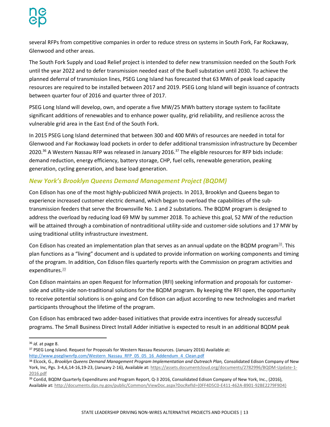several RFPs from competitive companies in order to reduce stress on systems in South Fork, Far Rockaway, Glenwood and other areas.

The South Fork Supply and Load Relief project is intended to defer new transmission needed on the South Fork until the year 2022 and to defer transmission needed east of the Buell substation until 2030. To achieve the planned deferral of transmission lines, PSEG Long Island has forecasted that 63 MWs of peak load capacity resources are required to be installed between 2017 and 2019. PSEG Long Island will begin issuance of contracts between quarter four of 2016 and quarter three of 2017.

PSEG Long Island will develop, own, and operate a five MW/25 MWh battery storage system to facilitate significant additions of renewables and to enhance power quality, grid reliability, and resilience across the vulnerable grid area in the East End of the South Fork.

In 2015 PSEG Long Island determined that between 300 and 400 MWs of resources are needed in total for Glenwood and Far Rockaway load pockets in order to defer additional transmission infrastructure by December 2020.<sup>36</sup> A Western Nassau RFP was released in January 2016.<sup>37</sup> The eligible resources for RFP bids include: demand reduction, energy efficiency, battery storage, CHP, fuel cells, renewable generation, peaking generation, cycling generation, and base load generation.

### <span id="page-15-0"></span>*New York's Brooklyn Queens Demand Management Project (BQDM)*

Con Edison has one of the most highly-publicized NWA projects. In 2013, Brooklyn and Queens began to experience increased customer electric demand, which began to overload the capabilities of the subtransmission feeders that serve the Brownsville No. 1 and 2 substations. The BQDM program is designed to address the overload by reducing load 69 MW by summer 2018. To achieve this goal, 52 MW of the reduction will be attained through a combination of nontraditional utility-side and customer-side solutions and 17 MW by using traditional utility infrastructure investment.

Con Edison has created an implementation plan that serves as an annual update on the BQDM program $^{38}$ . This plan functions as a "living" document and is updated to provide information on working components and timing of the program. In addition, Con Edison files quarterly reports with the Commission on program activities and expenditures. 39

Con Edison maintains an open Request for Information (RFI) seeking information and proposals for customerside and utility-side non-traditional solutions for the BQDM program. By keeping the RFI open, the opportunity to receive potential solutions is on-going and Con Edison can adjust according to new technologies and market participants throughout the lifetime of the program.

Con Edison has embraced two adder-based initiatives that provide extra incentives for already successful programs. The Small Business Direct Install Adder initiative is expected to result in an additional BQDM peak

 $\overline{a}$ 

<sup>36</sup> *id*. at page 8.

<sup>&</sup>lt;sup>37</sup> PSEG Long Island. Request for Proposals for Western Nassau Resources. (January 2016) Available at: [http://www.psegliwnrfp.com/Western\\_Nassau\\_RFP\\_05\\_05\\_16\\_Addendum\\_4\\_Clean.pdf](http://www.psegliwnrfp.com/Western_Nassau_RFP_05_05_16_Addendum_4_Clean.pdf)

<sup>38</sup> Elcock, G., *Brooklyn Queens Demand Management Program Implementation and Outreach Plan,* Consolidated Edison Company of New York, Inc, Pgs. 3-4,6,14-16,19-23, (January 2-16), Available at: [https://assets.documentcloud.org/documents/2782996/BQDM-Update-1-](https://assets.documentcloud.org/documents/2782996/BQDM-Update-1-2016.pdf) [2016.pdf](https://assets.documentcloud.org/documents/2782996/BQDM-Update-1-2016.pdf)

<sup>&</sup>lt;sup>39</sup> ConEd, BQDM Quarterly Expenditures and Program Report, Q-3 2016, Consolidated Edison Company of New York, Inc., (2016), Available at[: http://documents.dps.ny.gov/public/Common/ViewDoc.aspx?DocRefId={0FF4D5C0-E411-462A-8901-92BE2279F9D4}](http://documents.dps.ny.gov/public/Common/ViewDoc.aspx?DocRefId=%7b0FF4D5C0-E411-462A-8901-92BE2279F9D4%7d)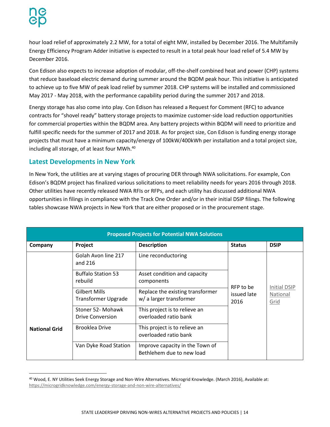hour load relief of approximately 2.2 MW, for a total of eight MW, installed by December 2016. The Multifamily Energy Efficiency Program Adder initiative is expected to result in a total peak hour load relief of 5.4 MW by December 2016.

Con Edison also expects to increase adoption of modular, off-the-shelf combined heat and power (CHP) systems that reduce baseload electric demand during summer around the BQDM peak hour. This initiative is anticipated to achieve up to five MW of peak load relief by summer 2018. CHP systems will be installed and commissioned May 2017 - May 2018, with the performance capability period during the summer 2017 and 2018.

Energy storage has also come into play. Con Edison has released a Request for Comment (RFC) to advance contracts for "shovel ready" battery storage projects to maximize customer-side load reduction opportunities for commercial properties within the BQDM area. Any battery projects within BQDM will need to prioritize and fulfill specific needs for the summer of 2017 and 2018. As for project size, Con Edison is funding energy storage projects that must have a minimum capacity/energy of 100kW/400kWh per installation and a total project size, including all storage, of at least four MWh. 40

### <span id="page-16-0"></span>**Latest Developments in New York**

In New York, the utilities are at varying stages of procuring DER through NWA solicitations. For example, Con Edison's BQDM project has finalized various solicitations to meet reliability needs for years 2016 through 2018. Other utilities have recently released NWA RFIs or RFPs, and each utility has discussed additional NWA opportunities in filings in compliance with the Track One Order and/or in their initial DSIP filings. The following tables showcase NWA projects in New York that are either proposed or in the procurement stage.

| <b>Proposed Projects for Potential NWA Solutions</b> |                                                    |                                                              |                     |                  |  |  |  |  |
|------------------------------------------------------|----------------------------------------------------|--------------------------------------------------------------|---------------------|------------------|--|--|--|--|
| Company                                              | Project                                            | <b>Description</b>                                           | <b>Status</b>       | <b>DSIP</b>      |  |  |  |  |
| <b>National Grid</b>                                 | Golah Avon line 217<br>and 216                     | Line reconductoring                                          |                     |                  |  |  |  |  |
|                                                      | <b>Buffalo Station 53</b><br>rebuild               | Asset condition and capacity<br>components                   | RFP to be           | Initial DSIP     |  |  |  |  |
|                                                      | <b>Gilbert Mills</b><br><b>Transformer Upgrade</b> | Replace the existing transformer<br>w/ a larger transformer  | issued late<br>2016 | National<br>Grid |  |  |  |  |
|                                                      | Stoner 52- Mohawk<br><b>Drive Conversion</b>       | This project is to relieve an<br>overloaded ratio bank       |                     |                  |  |  |  |  |
|                                                      | Brooklea Drive                                     | This project is to relieve an<br>overloaded ratio bank       |                     |                  |  |  |  |  |
|                                                      | Van Dyke Road Station                              | Improve capacity in the Town of<br>Bethlehem due to new load |                     |                  |  |  |  |  |

<sup>40</sup> Wood, E. NY Utilities Seek Energy Storage and Non-Wire Alternatives. Microgrid Knowledge. (March 2016), Available at: <https://microgridknowledge.com/energy-storage-and-non-wire-alternatives/>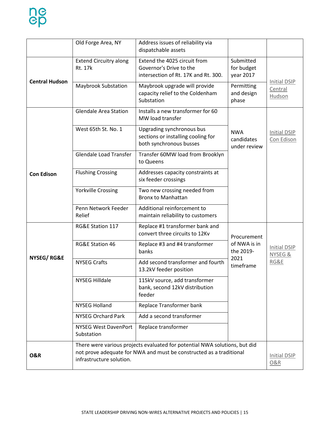|                       | Old Forge Area, NY                                                                                                                                                            | Address issues of reliability via<br>dispatchable assets                                                                               |                                      |                                   |  |
|-----------------------|-------------------------------------------------------------------------------------------------------------------------------------------------------------------------------|----------------------------------------------------------------------------------------------------------------------------------------|--------------------------------------|-----------------------------------|--|
| <b>Central Hudson</b> | <b>Extend Circuitry along</b><br><b>Rt. 17k</b>                                                                                                                               | Extend the 4025 circuit from<br>Governor's Drive to the<br>intersection of Rt. 17K and Rt. 300.                                        | Submitted<br>for budget<br>year 2017 | Initial DSIP<br>Central<br>Hudson |  |
|                       | <b>Maybrook Substation</b>                                                                                                                                                    | Maybrook upgrade will provide<br>capacity relief to the Coldenham<br>Substation                                                        | Permitting<br>and design<br>phase    |                                   |  |
|                       | <b>Glendale Area Station</b>                                                                                                                                                  | Installs a new transformer for 60<br>MW load transfer                                                                                  |                                      |                                   |  |
|                       | West 65th St. No. 1                                                                                                                                                           | Upgrading synchronous bus<br><b>NWA</b><br>sections or installing cooling for<br>candidates<br>both synchronous busses<br>under review |                                      | <b>Initial DSIP</b><br>Con Edison |  |
|                       | <b>Glendale Load Transfer</b>                                                                                                                                                 | Transfer 60MW load from Brooklyn<br>to Queens                                                                                          |                                      |                                   |  |
| <b>Con Edison</b>     | <b>Flushing Crossing</b>                                                                                                                                                      | Addresses capacity constraints at<br>six feeder crossings                                                                              |                                      |                                   |  |
|                       | <b>Yorkville Crossing</b>                                                                                                                                                     | Two new crossing needed from<br><b>Bronx to Manhattan</b>                                                                              |                                      |                                   |  |
|                       | Penn Network Feeder<br>Relief                                                                                                                                                 | Additional reinforcement to<br>maintain reliability to customers                                                                       |                                      |                                   |  |
|                       | RG&E Station 117                                                                                                                                                              | Replace #1 transformer bank and<br>convert three circuits to 12Kv<br>Procurement                                                       |                                      |                                   |  |
|                       | RG&E Station 46                                                                                                                                                               | Replace #3 and #4 transformer<br>banks                                                                                                 | of NWA is in<br>the 2019-            | Initial DSIP<br>NYSEG &<br>RG&E   |  |
| NYSEG/RG&E            | <b>NYSEG Crafts</b>                                                                                                                                                           | Add second transformer and fourth<br>13.2kV feeder position                                                                            | 2021<br>timeframe                    |                                   |  |
|                       | <b>NYSEG Hilldale</b>                                                                                                                                                         | 115kV source, add transformer<br>bank, second 12kV distribution<br>feeder                                                              |                                      |                                   |  |
|                       | <b>NYSEG Holland</b>                                                                                                                                                          | Replace Transformer bank                                                                                                               |                                      |                                   |  |
|                       | <b>NYSEG Orchard Park</b>                                                                                                                                                     | Add a second transformer                                                                                                               |                                      |                                   |  |
|                       | <b>NYSEG West DavenPort</b><br>Substation                                                                                                                                     | Replace transformer                                                                                                                    |                                      |                                   |  |
| <b>O&amp;R</b>        | There were various projects evaluated for potential NWA solutions, but did<br>not prove adequate for NWA and must be constructed as a traditional<br>infrastructure solution. |                                                                                                                                        |                                      |                                   |  |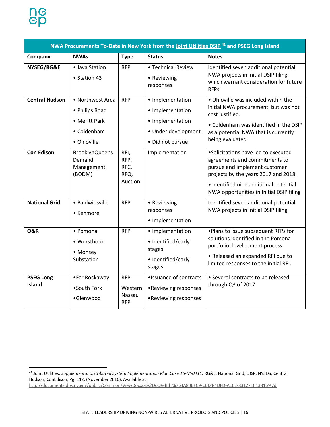l

| NWA Procurements To-Date in New York from the Joint Utilities DSIP <sup>41</sup> and PSEG Long Island |                                                                                   |                                               |                                                                                                     |                                                                                                                                                                                                                                     |  |  |  |  |
|-------------------------------------------------------------------------------------------------------|-----------------------------------------------------------------------------------|-----------------------------------------------|-----------------------------------------------------------------------------------------------------|-------------------------------------------------------------------------------------------------------------------------------------------------------------------------------------------------------------------------------------|--|--|--|--|
| Company                                                                                               | <b>NWAs</b>                                                                       | <b>Type</b>                                   | <b>Status</b>                                                                                       | <b>Notes</b>                                                                                                                                                                                                                        |  |  |  |  |
| NYSEG/RG&E                                                                                            | · Java Station<br>• Station 43                                                    | <b>RFP</b>                                    | • Technical Review<br>• Reviewing<br>responses                                                      | Identified seven additional potential<br>NWA projects in Initial DSIP filing<br>which warrant consideration for future<br><b>RFPs</b>                                                                                               |  |  |  |  |
| <b>Central Hudson</b>                                                                                 | • Northwest Area<br>• Philips Road<br>• Meritt Park<br>• Coldenham<br>• Ohioville | <b>RFP</b>                                    | • Implementation<br>• Implementation<br>• Implementation<br>· Under development<br>· Did not pursue | • Ohioville was included within the<br>initial NWA procurement, but was not<br>cost justified.<br>• Coldenham was identified in the DSIP<br>as a potential NWA that is currently<br>being evaluated.                                |  |  |  |  |
| <b>Con Edison</b>                                                                                     | <b>BrooklynQueens</b><br>Demand<br>Management<br>(BQDM)                           | RFI,<br>RFP,<br>RFC,<br>RFQ,<br>Auction       | Implementation                                                                                      | •Solicitations have led to executed<br>agreements and commitments to<br>pursue and implement customer<br>projects by the years 2017 and 2018.<br>· Identified nine additional potential<br>NWA opportunities in Initial DSIP filing |  |  |  |  |
| <b>National Grid</b>                                                                                  | · Baldwinsville<br>$\bullet$ Kenmore                                              | <b>RFP</b>                                    | • Reviewing<br>responses<br>• Implementation                                                        | Identified seven additional potential<br>NWA projects in Initial DSIP filing                                                                                                                                                        |  |  |  |  |
| <b>O&amp;R</b>                                                                                        | • Pomona<br>• Wurstboro<br>• Monsey<br>Substation                                 | <b>RFP</b>                                    | • Implementation<br>· Identified/early<br>stages<br>· Identified/early<br>stages                    | . Plans to issue subsequent RFPs for<br>solutions identified in the Pomona<br>portfolio development process.<br>• Released an expanded RFI due to<br>limited responses to the initial RFI.                                          |  |  |  |  |
| <b>PSEG Long</b><br><b>Island</b>                                                                     | •Far Rockaway<br>•South Fork<br>·Glenwood                                         | <b>RFP</b><br>Western<br>Nassau<br><b>RFP</b> | ·Issuance of contracts<br>•Reviewing responses<br>•Reviewing responses                              | • Several contracts to be released<br>through Q3 of 2017                                                                                                                                                                            |  |  |  |  |

<sup>41</sup> Joint Utilities. *Supplemental Distributed System Implementation Plan Case 16-M-0411.* RG&E, National Grid, O&R, NYSEG, Central Hudson, ConEdison, Pg. 112, (November 2016), Available at:

<http://documents.dps.ny.gov/public/Common/ViewDoc.aspx?DocRefId=%7b3A80BFC9-CBD4-4DFD-AE62-831271013816%7d>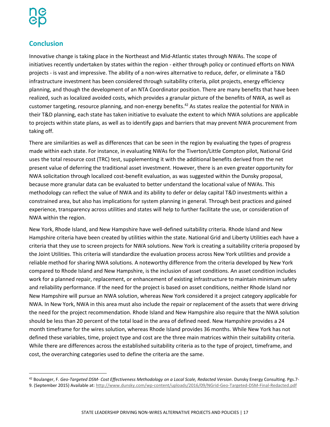# <span id="page-19-0"></span>**Conclusion**

Innovative change is taking place in the Northeast and Mid-Atlantic states through NWAs. The scope of initiatives recently undertaken by states within the region - either through policy or continued efforts on NWA projects - is vast and impressive. The ability of a non-wires alternative to reduce, defer, or eliminate a T&D infrastructure investment has been considered through suitability criteria, pilot projects, energy efficiency planning, and though the development of an NTA Coordinator position. There are many benefits that have been realized, such as localized avoided costs, which provides a granular picture of the benefits of NWA, as well as customer targeting, resource planning, and non-energy benefits.<sup>42</sup> As states realize the potential for NWA in their T&D planning, each state has taken initiative to evaluate the extent to which NWA solutions are applicable to projects within state plans, as well as to identify gaps and barriers that may prevent NWA procurement from taking off.

There are similarities as well as differences that can be seen in the region by evaluating the types of progress made within each state. For instance, in evaluating NWAs for the Tiverton/Little Compton pilot, National Grid uses the total resource cost (TRC) test, supplementing it with the additional benefits derived from the net present value of deferring the traditional asset investment. However, there is an even greater opportunity for NWA solicitation through localized cost-benefit evaluation, as was suggested within the Dunsky proposal, because more granular data can be evaluated to better understand the locational value of NWAs. This methodology can reflect the value of NWA and its ability to defer or delay capital T&D investments within a constrained area, but also has implications for system planning in general. Through best practices and gained experience, transparency across utilities and states will help to further facilitate the use, or consideration of NWA within the region.

New York, Rhode Island, and New Hampshire have well-defined suitability criteria. Rhode Island and New Hampshire criteria have been created by utilities within the state. National Grid and Liberty Utilities each have a criteria that they use to screen projects for NWA solutions. New York is creating a suitability criteria proposed by the Joint Utilities. This criteria will standardize the evaluation process across New York utilities and provide a reliable method for sharing NWA solutions. A noteworthy difference from the criteria developed by New York compared to Rhode Island and New Hampshire, is the inclusion of asset conditions. An asset condition includes work for a planned repair, replacement, or enhancement of existing infrastructure to maintain minimum safety and reliability performance. If the need for the project is based on asset conditions, neither Rhode Island nor New Hampshire will pursue an NWA solution, whereas New York considered it a project category applicable for NWA. In New York, NWA in this area must also include the repair or replacement of the assets that were driving the need for the project recommendation. Rhode Island and New Hampshire also require that the NWA solution should be less than 20 percent of the total load in the area of defined need. New Hampshire provides a 24 month timeframe for the wires solution, whereas Rhode Island provides 36 months. While New York has not defined these variables, time, project type and cost are the three main matrices within their suitability criteria. While there are differences across the established suitability criteria as to the type of project, timeframe, and cost, the overarching categories used to define the criteria are the same.

<sup>42</sup> Boulanger, F. *Geo-Targeted DSM- Cost Effectiveness Methodology on a Local Scale, Redacted Version*. Dunsky Energy Consulting. Pgs.7- 9. (September 2015) Available at:<http://www.dunsky.com/wp-content/uploads/2016/09/NGrid-Geo-Targeted-DSM-Final-Redacted.pdf>